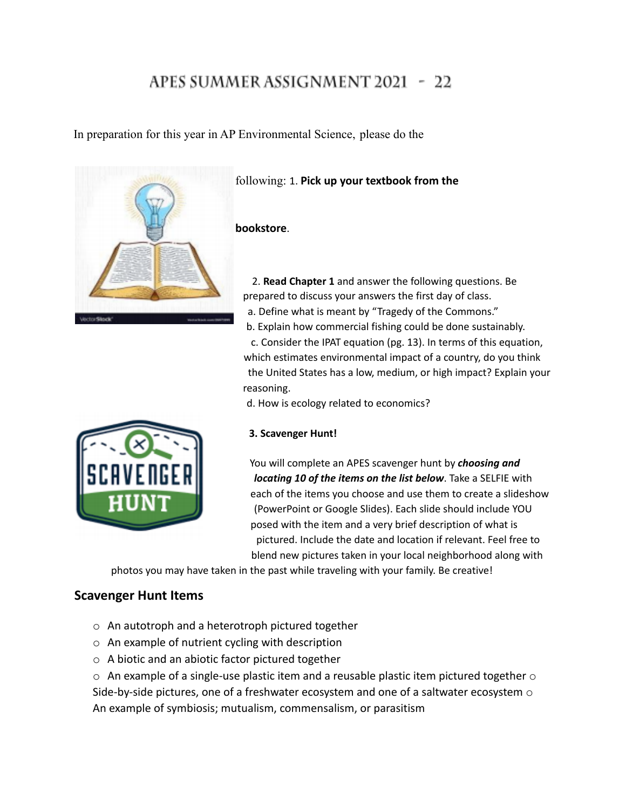# APES SUMMER ASSIGNMENT 2021 - 22

In preparation for this year in AP Environmental Science, please do the



following: 1. **Pick up your textbook from the**

### **bookstore**.

2. **Read Chapter 1** and answer the following questions. Be prepared to discuss your answers the first day of class. a. Define what is meant by "Tragedy of the Commons." b. Explain how commercial fishing could be done sustainably. c. Consider the IPAT equation (pg. 13). In terms of this equation, which estimates environmental impact of a country, do you think the United States has a low, medium, or high impact? Explain your reasoning.

d. How is ecology related to economics?



### **3. Scavenger Hunt!**

You will complete an APES scavenger hunt by *choosing and locating 10 of the items on the list below*. Take a SELFIE with each of the items you choose and use them to create a slideshow (PowerPoint or Google Slides). Each slide should include YOU posed with the item and a very brief description of what is pictured. Include the date and location if relevant. Feel free to blend new pictures taken in your local neighborhood along with

photos you may have taken in the past while traveling with your family. Be creative!

## **Scavenger Hunt Items**

- o An autotroph and a heterotroph pictured together
- o An example of nutrient cycling with description
- o A biotic and an abiotic factor pictured together

 $\circ$  An example of a single-use plastic item and a reusable plastic item pictured together  $\circ$ Side-by-side pictures, one of a freshwater ecosystem and one of a saltwater ecosystem  $\circ$ An example of symbiosis; mutualism, commensalism, or parasitism